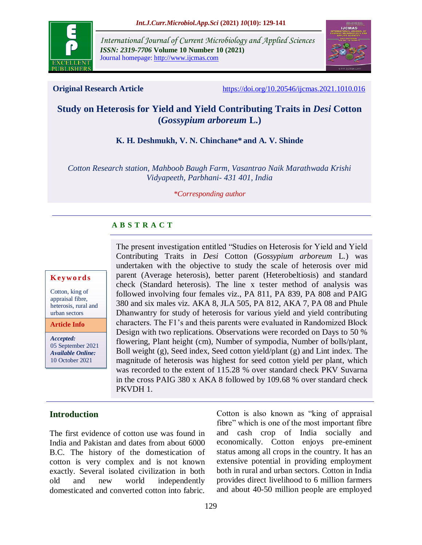

*International Journal of Current Microbiology and Applied Sciences ISSN: 2319-7706* **Volume 10 Number 10 (2021)**  Journal homepage: http://www.ijcmas.com



**Original Research Article** <https://doi.org/10.20546/ijcmas.2021.1010.016>

# **Study on Heterosis for Yield and Yield Contributing Traits in** *Desi* **Cotton (***Gossypium arboreum* **L.)**

# **K. H. Deshmukh, V. N. Chinchane\* and A. V. Shinde**

*Cotton Research station, Mahboob Baugh Farm, Vasantrao Naik Marathwada Krishi Vidyapeeth, Parbhani- 431 401, India*

*\*Corresponding author*

# **A B S T R A C T**

#### **K ey w o rd s**

Cotton, king of appraisal fibre, heterosis, rural and urban sectors

**Article Info**

*Accepted:*  05 September 2021 *Available Online:* 10 October 2021

The present investigation entitled "Studies on Heterosis for Yield and Yield Contributing Traits in *Desi* Cotton (G*ossypium arboreum* L*.*) was undertaken with the objective to study the scale of heterosis over mid parent (Average heterosis), better parent (Heterobeltiosis) and standard check (Standard heterosis). The line x tester method of analysis was followed involving four females viz., PA 811, PA 839, PA 808 and PAIG 380 and six males viz. AKA 8, JLA 505, PA 812, AKA 7, PA 08 and Phule Dhanwantry for study of heterosis for various yield and yield contributing characters. The F1's and theis parents were evaluated in Randomized Block Design with two replications. Observations were recorded on Days to 50 % flowering, Plant height (cm), Number of sympodia, Number of bolls/plant, Boll weight (g), Seed index, Seed cotton yield/plant (g) and Lint index. The magnitude of heterosis was highest for seed cotton yield per plant, which was recorded to the extent of 115.28 % over standard check PKV Suvarna in the cross PAIG 380 x AKA 8 followed by 109.68 % over standard check PKVDH 1.

# **Introduction**

The first evidence of cotton use was found in India and Pakistan and dates from about 6000 B.C. The history of the domestication of cotton is very complex and is not known exactly. Several isolated civilization in both old and new world independently domesticated and converted cotton into fabric.

Cotton is also known as "king of appraisal fibre" which is one of the most important fibre and cash crop of India socially and economically. Cotton enjoys pre-eminent status among all crops in the country. It has an extensive potential in providing employment both in rural and urban sectors. Cotton in India provides direct livelihood to 6 million farmers and about 40-50 million people are employed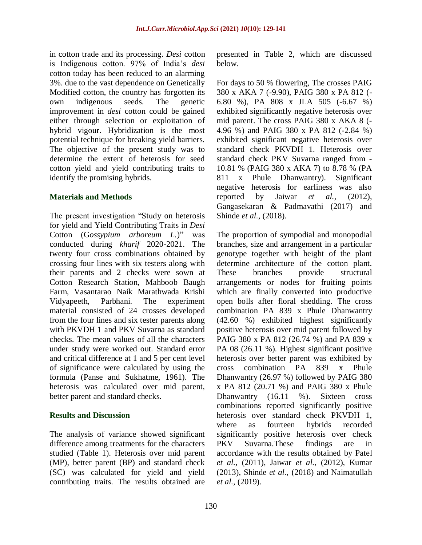in cotton trade and its processing. *Desi* cotton is Indigenous cotton. 97% of India's *desi* cotton today has been reduced to an alarming 3%. due to the vast dependence on Genetically Modified cotton, the country has forgotten its own indigenous seeds. The genetic improvement in *desi* cotton could be gained either through selection or exploitation of hybrid vigour. Hybridization is the most potential technique for breaking yield barriers. The objective of the present study was to determine the extent of heterosis for seed cotton yield and yield contributing traits to identify the promising hybrids.

### **Materials and Methods**

The present investigation "Study on heterosis for yield and Yield Contributing Traits in *Desi* Cotton (G*ossypium arboreum L.*)" was conducted during *kharif* 2020-2021. The twenty four cross combinations obtained by crossing four lines with six testers along with their parents and 2 checks were sown at Cotton Research Station, Mahboob Baugh Farm, Vasantarao Naik Marathwada Krishi Vidyapeeth, Parbhani. The experiment material consisted of 24 crosses developed from the four lines and six tester parents along with PKVDH 1 and PKV Suvarna as standard checks. The mean values of all the characters under study were worked out. Standard error and critical difference at 1 and 5 per cent level of significance were calculated by using the formula (Panse and Sukhatme, 1961). The heterosis was calculated over mid parent, better parent and standard checks.

#### **Results and Discussion**

The analysis of variance showed significant difference among treatments for the characters studied (Table 1). Heterosis over mid parent (MP), better parent (BP) and standard check (SC) was calculated for yield and yield contributing traits. The results obtained are presented in Table 2, which are discussed below.

For days to 50 % flowering, The crosses PAIG 380 x AKA 7 (-9.90), PAIG 380 x PA 812 (- 6.80 %), PA 808 x JLA 505 (-6.67 %) exhibited significantly negative heterosis over mid parent. The cross PAIG 380 x AKA 8 (- 4.96 %) and PAIG 380 x PA 812 (-2.84 %) exhibited significant negative heterosis over standard check PKVDH 1. Heterosis over standard check PKV Suvarna ranged from - 10.81 % (PAIG 380 x AKA 7) to 8.78 % (PA 811 x Phule Dhanwantry). Significant negative heterosis for earliness was also reported by Jaiwar *et al.,* (2012), Gangasekaran & Padmavathi (2017) and Shinde *et al.,* (2018).

The proportion of sympodial and monopodial branches, size and arrangement in a particular genotype together with height of the plant determine architecture of the cotton plant. These branches provide structural arrangements or nodes for fruiting points which are finally converted into productive open bolls after floral shedding. The cross combination PA 839 x Phule Dhanwantry (42.60 %) exhibited highest significantly positive heterosis over mid parent followed by PAIG 380 x PA 812 (26.74 %) and PA 839 x PA 08 (26.11 %). Highest significant positive heterosis over better parent was exhibited by cross combination PA 839 x Phule Dhanwantry (26.97 %) followed by PAIG 380 x PA 812 (20.71 %) and PAIG 380 x Phule Dhanwantry (16.11 %). Sixteen cross combinations reported significantly positive heterosis over standard check PKVDH 1, where as fourteen hybrids recorded significantly positive heterosis over check PKV Suvarna.These findings are in accordance with the results obtained by Patel *et al.,* (2011), Jaiwar *et al.,* (2012), Kumar (2013), Shinde *et al.,* (2018) and Naimatullah *et al.,* (2019).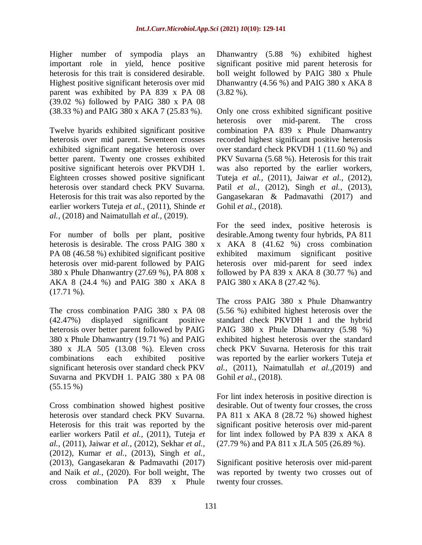Higher number of sympodia plays an important role in yield, hence positive heterosis for this trait is considered desirable. Highest positive significant heterosis over mid parent was exhibited by PA 839 x PA 08 (39.02 %) followed by PAIG 380 x PA 08 (38.33 %) and PAIG 380 x AKA 7 (25.83 %).

Twelve hyarids exhibited significant positive heterosis over mid parent. Seventeen crosses exhibited significant negative heterosis over better parent. Twenty one crosses exhibited positive significant heterois over PKVDH 1. Eighteen crosses showed positive significant heterosis over standard check PKV Suvarna. Heterosis for this trait was also reported by the earlier workers Tuteja *et al.,* (2011), Shinde *et al.,* (2018) and Naimatullah *et al.,* (2019).

For number of bolls per plant, positive heterosis is desirable. The cross PAIG 380 x PA 08 (46.58 %) exhibited significant positive heterosis over mid-parent followed by PAIG 380 x Phule Dhanwantry (27.69 %), PA 808 x AKA 8 (24.4 %) and PAIG 380 x AKA 8  $(17.71\%)$ .

The cross combination PAIG 380 x PA 08 (42.47%) displayed significant positive heterosis over better parent followed by PAIG 380 x Phule Dhanwantry (19.71 %) and PAIG 380 x JLA 505 (13.08 %). Eleven cross combinations each exhibited positive significant heterosis over standard check PKV Suvarna and PKVDH 1. PAIG 380 x PA 08  $(55.15\%)$ 

Cross combination showed highest positive heterosis over standard check PKV Suvarna. Heterosis for this trait was reported by the earlier workers Patil *et al.,* (2011), Tuteja *et al.,* (2011), Jaiwar *et al.,* (2012), Sekhar *et al.,*  (2012), Kumar *et al.,* (2013), Singh *et al.,*  (2013), Gangasekaran & Padmavathi (2017) and Naik *et al.,* (2020). For boll weight, The cross combination PA 839 x Phule

Dhanwantry (5.88 %) exhibited highest significant positive mid parent heterosis for boll weight followed by PAIG 380 x Phule Dhanwantry (4.56 %) and PAIG 380 x AKA 8  $(3.82 %).$ 

Only one cross exhibited significant positive heterosis over mid-parent. The cross combination PA 839 x Phule Dhanwantry recorded highest significant positive heterosis over standard check PKVDH 1 (11.60 %) and PKV Suvarna (5.68 %). Heterosis for this trait was also reported by the earlier workers, Tuteja *et al.,* (2011), Jaiwar *et al.,* (2012), Patil *et al.,* (2012), Singh *et al.,* (2013), Gangasekaran & Padmavathi (2017) and Gohil *et al.,* (2018).

For the seed index, positive heterosis is desirable.Among twenty four hybrids, PA 811 x AKA 8 (41.62 %) cross combination exhibited maximum significant positive heterosis over mid-parent for seed index followed by PA 839 x AKA 8  $(30.77 \%)$  and PAIG 380 x AKA 8 (27.42 %).

The cross PAIG 380 x Phule Dhanwantry (5.56 %) exhibited highest heterosis over the standard check PKVDH 1 and the hybrid PAIG 380 x Phule Dhanwantry (5.98 %) exhibited highest heterosis over the standard check PKV Suvarna. Heterosis for this trait was reported by the earlier workers Tuteja *et al.,* (2011), Naimatullah *et al.,*(2019) and Gohil *et al.,* (2018).

For lint index heterosis in positive direction is desirable. Out of twenty four crosses, the cross PA 811 x AKA 8 (28.72 %) showed highest significant positive heterosis over mid-parent for lint index followed by PA 839 x AKA 8 (27.79 %) and PA 811 x JLA 505 (26.89 %).

Significant positive heterosis over mid-parent was reported by twenty two crosses out of twenty four crosses.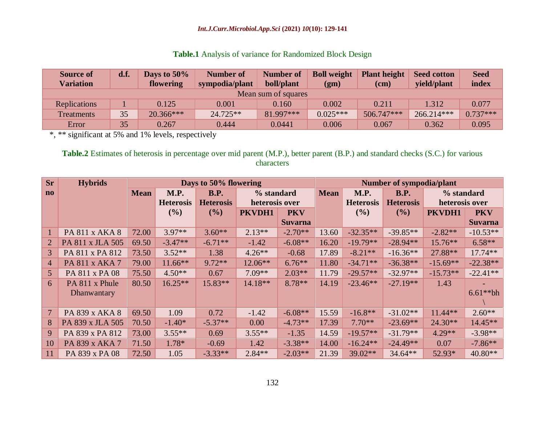### *Int.J.Curr.Microbiol.App.Sci* **(2021)** *10***(10): 129-141**

|  |  |  | Table.1 Analysis of variance for Randomized Block Design |  |  |  |
|--|--|--|----------------------------------------------------------|--|--|--|
|--|--|--|----------------------------------------------------------|--|--|--|

| <b>Source of</b><br><b>Variation</b> | d.f. | Days to $50\%$<br>flowering | <b>Number of</b><br>sympodia/plant | <b>Number of</b><br>boll/plant | <b>Boll weight</b><br>(gm) | <b>Plant height</b><br>(c <sub>m</sub> ) | <b>Seed cotton</b><br>vield/plant | <b>Seed</b><br>index |  |  |
|--------------------------------------|------|-----------------------------|------------------------------------|--------------------------------|----------------------------|------------------------------------------|-----------------------------------|----------------------|--|--|
| Mean sum of squares                  |      |                             |                                    |                                |                            |                                          |                                   |                      |  |  |
| Replications                         |      | 0.125                       | 0.001                              | 0.160                          | 0.002                      | 0.211                                    | 1.312                             | 0.077                |  |  |
| <b>Treatments</b>                    | 35   | $20.366***$                 | $24.725**$                         | 81.997***                      | $0.025***$                 | 506.747***                               | 266.214***                        | $0.737***$           |  |  |
| Error                                | 35   | 0.267                       | 0.444                              | 0.0441                         | 0.006                      | 0.067                                    | 0.362                             | 0.095                |  |  |

\*, \*\* significant at 5% and 1% levels, respectively

**Table.2** Estimates of heterosis in percentage over mid parent (M.P.), better parent (B.P.) and standard checks (S.C.) for various characters

| <b>Sr</b>              | <b>Hybrids</b>   |             |                  | Days to 50% flowering |                |                | <b>Number of sympodia/plant</b> |                  |                  |                |                |  |
|------------------------|------------------|-------------|------------------|-----------------------|----------------|----------------|---------------------------------|------------------|------------------|----------------|----------------|--|
| $\mathbf{n}\mathbf{o}$ |                  | <b>Mean</b> | M.P.             | <b>B.P.</b>           | % standard     |                | <b>Mean</b>                     | M.P.             | <b>B.P.</b>      | % standard     |                |  |
|                        |                  |             | <b>Heterosis</b> | <b>Heterosis</b>      | heterosis over |                |                                 | <b>Heterosis</b> | <b>Heterosis</b> | heterosis over |                |  |
|                        |                  |             | (%)              | (%)                   | PKVDH1         | <b>PKV</b>     |                                 | $($ %)           | (%)              | PKVDH1         | <b>PKV</b>     |  |
|                        |                  |             |                  |                       |                | <b>Suvarna</b> |                                 |                  |                  |                | <b>Suvarna</b> |  |
|                        | PA 811 x AKA 8   | 72.00       | $3.97**$         | $3.60**$              | $2.13**$       | $-2.70**$      | 13.60                           | $-32.35**$       | $-39.85**$       | $-2.82**$      | $-10.53**$     |  |
| $\overline{2}$         | PA 811 x JLA 505 | 69.50       | $-3.47**$        | $-6.71**$             | $-1.42$        | $-6.08**$      | 16.20                           | $-19.79**$       | $-28.94**$       | $15.76**$      | $6.58**$       |  |
| $\overline{3}$         | PA 811 x PA 812  | 73.50       | $3.52**$         | 1.38                  | $4.26**$       | $-0.68$        | 17.89                           | $-8.21**$        | $-16.36**$       | 27.88**        | $17.74**$      |  |
| 4                      | PA 811 x AKA 7   | 79.00       | $11.66**$        | $9.72**$              | $12.06**$      | $6.76***$      | 11.80                           | $-34.71**$       | $-36.38**$       | $-15.69**$     | $-22.38**$     |  |
| 5 <sup>5</sup>         | PA 811 x PA 08   | 75.50       | $4.50**$         | 0.67                  | $7.09**$       | $2.03**$       | 11.79                           | $-29.57**$       | $-32.97**$       | $-15.73**$     | $-22.41**$     |  |
| 6                      | PA 811 x Phule   | 80.50       | $16.25**$        | 15.83**               | 14.18**        | $8.78**$       | 14.19                           | $-23.46**$       | $-27.19**$       | 1.43           |                |  |
|                        | Dhanwantary      |             |                  |                       |                |                |                                 |                  |                  |                | $6.61**bh$     |  |
|                        |                  |             |                  |                       |                |                |                                 |                  |                  |                |                |  |
| $\overline{7}$         | PA 839 x AKA 8   | 69.50       | 1.09             | 0.72                  | $-1.42$        | $-6.08**$      | 15.59                           | $-16.8**$        | $-31.02**$       | $11.44**$      | $2.60**$       |  |
| 8                      | PA 839 x JLA 505 | 70.50       | $-1.40*$         | $-5.37**$             | 0.00           | $-4.73**$      | 17.39                           | $7.70**$         | $-23.69**$       | $24.30**$      | $14.45**$      |  |
| 9                      | PA 839 x PA 812  | 73.00       | $3.55**$         | 0.69                  | $3.55***$      | $-1.35$        | 14.59                           | $-19.57**$       | $-31.79**$       | $4.29**$       | $-3.98**$      |  |
| 10                     | PA 839 x AKA 7   | 71.50       | 1.78*            | $-0.69$               | 1.42           | $-3.38**$      | 14.00                           | $-16.24**$       | $-24.49**$       | 0.07           | $-7.86**$      |  |
| 11                     | PA 839 x PA 08   | 72.50       | 1.05             | $-3.33**$             | $2.84**$       | $-2.03**$      | 21.39                           | $39.02**$        | $34.64**$        | 52.93*         | 40.80**        |  |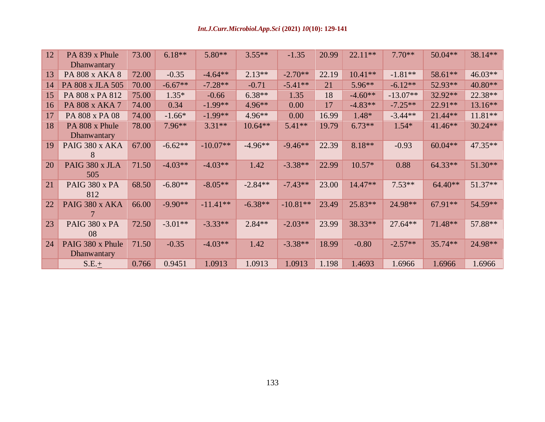| 12 | PA 839 x Phule                  | 73.00 | $6.18**$  | $5.80**$   | $3.55***$ | $-1.35$    | 20.99 | $22.11**$ | $7.70**$   | $50.04**$ | 38.14**   |
|----|---------------------------------|-------|-----------|------------|-----------|------------|-------|-----------|------------|-----------|-----------|
|    | Dhanwantary                     |       |           |            |           |            |       |           |            |           |           |
| 13 | PA 808 x AKA 8                  | 72.00 | $-0.35$   | $-4.64**$  | $2.13**$  | $-2.70**$  | 22.19 | $10.41**$ | $-1.81**$  | 58.61**   | $46.03**$ |
| 14 | PA 808 x JLA 505                | 70.00 | $-6.67**$ | $-7.28**$  | $-0.71$   | $-5.41**$  | 21    | 5.96**    | $-6.12**$  | 52.93**   | 40.80**   |
| 15 | PA 808 x PA 812                 | 75.00 | $1.35*$   | $-0.66$    | $6.38**$  | 1.35       | 18    | $-4.60**$ | $-13.07**$ | 32.92**   | 22.38**   |
| 16 | PA 808 x AKA 7                  | 74.00 | 0.34      | $-1.99**$  | 4.96**    | 0.00       | 17    | $-4.83**$ | $-7.25**$  | $22.91**$ | 13.16**   |
| 17 | PA 808 x PA 08                  | 74.00 | $-1.66*$  | $-1.99**$  | $4.96**$  | 0.00       | 16.99 | $1.48*$   | $-3.44**$  | $21.44**$ | $11.81**$ |
| 18 | PA 808 x Phule<br>Dhanwantary   | 78.00 | $7.96**$  | $3.31**$   | $10.64**$ | $5.41**$   | 19.79 | $6.73**$  | $1.54*$    | $41.46**$ | $30.24**$ |
| 19 | PAIG 380 x AKA<br>8             | 67.00 | $-6.62**$ | $-10.07**$ | $-4.96**$ | $-9.46**$  | 22.39 | $8.18**$  | $-0.93$    | $60.04**$ | 47.35**   |
| 20 | PAIG 380 x JLA<br>505           | 71.50 | $-4.03**$ | $-4.03**$  | 1.42      | $-3.38**$  | 22.99 | $10.57*$  | 0.88       | $64.33**$ | $51.30**$ |
| 21 | PAIG 380 x PA<br>812            | 68.50 | $-6.80**$ | $-8.05**$  | $-2.84**$ | $-7.43**$  | 23.00 | 14.47**   | $7.53**$   | $64.40**$ | $51.37**$ |
| 22 | PAIG 380 x AKA                  | 66.00 | $-9.90**$ | $-11.41**$ | $-6.38**$ | $-10.81**$ | 23.49 | 25.83**   | 24.98**    | 67.91**   | 54.59**   |
| 23 | PAIG 380 x PA<br>08             | 72.50 | $-3.01**$ | $-3.33**$  | $2.84**$  | $-2.03**$  | 23.99 | 38.33**   | $27.64**$  | $71.48**$ | 57.88**   |
| 24 | PAIG 380 x Phule<br>Dhanwantary | 71.50 | $-0.35$   | $-4.03**$  | 1.42      | $-3.38**$  | 18.99 | $-0.80$   | $-2.57**$  | 35.74 **  | 24.98**   |
|    | $S.E.+$                         | 0.766 | 0.9451    | 1.0913     | 1.0913    | 1.0913     | 1.198 | 1.4693    | 1.6966     | 1.6966    | 1.6966    |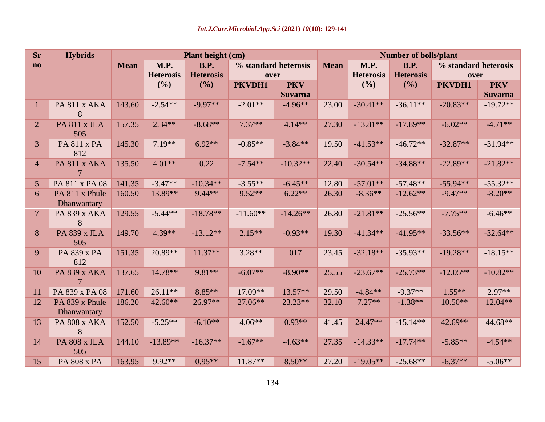| <b>Sr</b>              | <b>Hybrids</b>                       |             |                          | Plant height (cm)               |                              |                              | <b>Number of bolls/plant</b> |                          |                                 |                              |                              |  |
|------------------------|--------------------------------------|-------------|--------------------------|---------------------------------|------------------------------|------------------------------|------------------------------|--------------------------|---------------------------------|------------------------------|------------------------------|--|
| $\mathbf{n}\mathbf{o}$ |                                      | <b>Mean</b> | M.P.<br><b>Heterosis</b> | <b>B.P.</b><br><b>Heterosis</b> | % standard heterosis<br>over |                              | <b>Mean</b>                  | M.P.<br><b>Heterosis</b> | <b>B.P.</b><br><b>Heterosis</b> | % standard heterosis<br>over |                              |  |
|                        |                                      |             | (%)                      | (%)                             | PKVDH1                       | <b>PKV</b><br><b>Suvarna</b> |                              | (%)                      | (%)                             | PKVDH1                       | <b>PKV</b><br><b>Suvarna</b> |  |
| $\mathbf{1}$           | PA 811 x AKA<br>8                    | 143.60      | $-2.54**$                | $-9.97**$                       | $-2.01**$                    | $-4.96**$                    | 23.00                        | $-30.41**$               | $-36.11**$                      | $-20.83**$                   | $-19.72**$                   |  |
| $\overline{2}$         | PA 811 x JLA<br>505                  | 157.35      | $2.34**$                 | $-8.68**$                       | $7.37**$                     | $4.14**$                     | 27.30                        | $-13.81**$               | $-17.89**$                      | $-6.02**$                    | $-4.71**$                    |  |
| 3                      | PA 811 x PA<br>812                   | 145.30      | $7.19**$                 | $6.92**$                        | $-0.85**$                    | $-3.84**$                    | 19.50                        | $-41.53**$               | $-46.72**$                      | $-32.87**$                   | $-31.94**$                   |  |
| $\overline{4}$         | PA 811 x AKA                         | 135.50      | $4.01**$                 | 0.22                            | $-7.54**$                    | $-10.32**$                   | 22.40                        | $-30.54**$               | $-34.88**$                      | $-22.89**$                   | $-21.82**$                   |  |
| $\overline{5}$         | PA 811 x PA 08                       | 141.35      | $-3.47**$                | $-10.34**$                      | $-3.55**$                    | $-6.45**$                    | 12.80                        | $-57.01**$               | $-57.48**$                      | $-55.94**$                   | $-55.32**$                   |  |
| 6                      | PA 811 x Phule<br>Dhanwantary        | 160.50      | 13.89**                  | $9.44**$                        | $9.52**$                     | $6.22**$                     | 26.30                        | $-8.36**$                | $-12.62**$                      | $-9.47**$                    | $-8.20**$                    |  |
| $7\overline{ }$        | PA 839 x AKA<br>8                    | 129.55      | $-5.44**$                | $-18.78**$                      | $-11.60**$                   | $-14.26**$                   | 26.80                        | $-21.81**$               | $-25.56**$                      | $-7.75**$                    | $-6.46**$                    |  |
| 8                      | PA 839 x JLA<br>505                  | 149.70      | 4.39**                   | $-13.12**$                      | $2.15**$                     | $-0.93**$                    | 19.30                        | $-41.34**$               | $-41.95**$                      | $-33.56**$                   | $-32.64**$                   |  |
| 9                      | PA 839 x PA<br>812                   | 151.35      | $20.89**$                | $11.37**$                       | $3.28**$                     | 017                          | 23.45                        | $-32.18**$               | $-35.93**$                      | $-19.28**$                   | $-18.15**$                   |  |
| 10                     | PA 839 x AKA<br>7                    | 137.65      | 14.78**                  | $9.81**$                        | $-6.07**$                    | $-8.90**$                    | 25.55                        | $-23.67**$               | $-25.73**$                      | $-12.05**$                   | $-10.82**$                   |  |
| 11                     | PA 839 x PA 08                       | 171.60      | $26.11**$                | $8.85**$                        | 17.09**                      | $13.57**$                    | 29.50                        | $-4.84**$                | $-9.37**$                       | $1.55**$                     | $2.97**$                     |  |
| 12                     | PA 839 x Phule<br><b>Dhanwantary</b> | 186.20      | $42.60**$                | 26.97**                         | 27.06**                      | $23.23**$                    | 32.10                        | $7.27**$                 | $-1.38**$                       | $10.50**$                    | $12.04**$                    |  |
| 13                     | PA 808 x AKA<br>8                    | 152.50      | $-5.25**$                | $-6.10**$                       | $4.06**$                     | $0.93**$                     | 41.45                        | $24.47**$                | $-15.14**$                      | $42.69**$                    | 44.68**                      |  |
| 14                     | PA 808 x JLA<br>505                  | 144.10      | $-13.89**$               | $-16.37**$                      | $-1.67**$                    | $-4.63**$                    | 27.35                        | $-14.33**$               | $-17.74**$                      | $-5.85**$                    | $-4.54**$                    |  |
| 15                     | PA 808 x PA                          | 163.95      | $9.92**$                 | $0.95**$                        | $11.87**$                    | $8.50**$                     | 27.20                        | $-19.05**$               | $-25.68**$                      | $-6.37**$                    | $-5.06**$                    |  |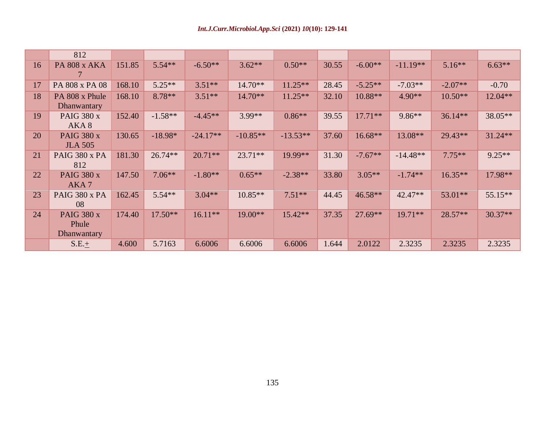|    | 812                                       |        |           |            |            |            |       |           |            |           |           |
|----|-------------------------------------------|--------|-----------|------------|------------|------------|-------|-----------|------------|-----------|-----------|
| 16 | PA 808 x AKA                              | 151.85 | $5.54**$  | $-6.50**$  | $3.62**$   | $0.50**$   | 30.55 | $-6.00**$ | $-11.19**$ | $5.16***$ | $6.63**$  |
| 17 | PA 808 x PA 08                            | 168.10 | $5.25**$  | $3.51**$   | $14.70**$  | $11.25**$  | 28.45 | $-5.25**$ | $-7.03**$  | $-2.07**$ | $-0.70$   |
| 18 | PA 808 x Phule<br>Dhanwantary             | 168.10 | 8.78**    | $3.51**$   | $14.70**$  | $11.25**$  | 32.10 | 10.88**   | $4.90**$   | $10.50**$ | 12.04**   |
| 19 | <b>PAIG 380 x</b><br>AKA 8                | 152.40 | $-1.58**$ | $-4.45**$  | 3.99**     | $0.86**$   | 39.55 | $17.71**$ | 9.86**     | $36.14**$ | 38.05**   |
| 20 | <b>PAIG 380 x</b><br><b>JLA 505</b>       | 130.65 | $-18.98*$ | $-24.17**$ | $-10.85**$ | $-13.53**$ | 37.60 | $16.68**$ | 13.08**    | $29.43**$ | $31.24**$ |
| 21 | PAIG 380 x PA<br>812                      | 181.30 | $26.74**$ | $20.71**$  | $23.71**$  | 19.99**    | 31.30 | $-7.67**$ | $-14.48**$ | $7.75**$  | $9.25**$  |
| 22 | <b>PAIG 380 x</b><br>AKA7                 | 147.50 | $7.06**$  | $-1.80**$  | $0.65**$   | $-2.38**$  | 33.80 | $3.05**$  | $-1.74**$  | $16.35**$ | 17.98**   |
| 23 | PAIG 380 x PA<br>08                       | 162.45 | $5.54**$  | $3.04**$   | $10.85**$  | $7.51**$   | 44.45 | 46.58**   | $42.47**$  | 53.01**   | $55.15**$ |
| 24 | <b>PAIG 380 x</b><br>Phule<br>Dhanwantary | 174.40 | $17.50**$ | $16.11**$  | $19.00**$  | $15.42**$  | 37.35 | $27.69**$ | $19.71**$  | $28.57**$ | $30.37**$ |
|    | $S.E. \pm$                                | 4.600  | 5.7163    | 6.6006     | 6.6006     | 6.6006     | 1.644 | 2.0122    | 2.3235     | 2.3235    | 2.3235    |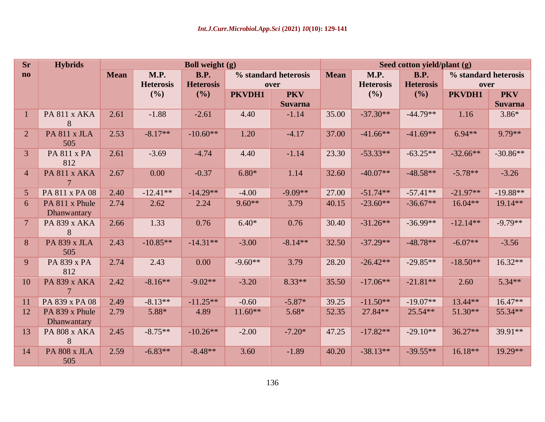| <b>Sr</b>      | <b>Hybrids</b>                |             |                          | <b>Boll weight (g)</b>          |           |                              | Seed cotton yield/plant (g) |                                 |                                 |                              |                              |  |
|----------------|-------------------------------|-------------|--------------------------|---------------------------------|-----------|------------------------------|-----------------------------|---------------------------------|---------------------------------|------------------------------|------------------------------|--|
| $\bf{no}$      |                               | <b>Mean</b> | M.P.<br><b>Heterosis</b> | <b>B.P.</b><br><b>Heterosis</b> |           | % standard heterosis<br>over | <b>Mean</b>                 | <b>M.P.</b><br><b>Heterosis</b> | <b>B.P.</b><br><b>Heterosis</b> | % standard heterosis<br>over |                              |  |
|                |                               |             | (%)                      | (%)                             | PKVDH1    | <b>PKV</b><br><b>Suvarna</b> |                             | (%)                             | (%)                             | PKVDH1                       | <b>PKV</b><br><b>Suvarna</b> |  |
| 1              | PA 811 x AKA<br>8             | 2.61        | $-1.88$                  | $-2.61$                         | 4.40      | $-1.14$                      | 35.00                       | $-37.30**$                      | $-44.79**$                      | 1.16                         | $3.86*$                      |  |
| $\overline{2}$ | PA 811 x JLA<br>505           | 2.53        | $-8.17**$                | $-10.60**$                      | 1.20      | $-4.17$                      | 37.00                       | $-41.66**$                      | $-41.69**$                      | $6.94**$                     | 9.79**                       |  |
| $\overline{3}$ | <b>PA 811 x PA</b><br>812     | 2.61        | $-3.69$                  | $-4.74$                         | 4.40      | $-1.14$                      | 23.30                       | $-53.33**$                      | $-63.25**$                      | $-32.66**$                   | $-30.86**$                   |  |
| $\overline{4}$ | PA 811 x AKA                  | 2.67        | 0.00                     | $-0.37$                         | $6.80*$   | 1.14                         | 32.60                       | $-40.07**$                      | $-48.58**$                      | $-5.78**$                    | $-3.26$                      |  |
| 5              | PA 811 x PA 08                | 2.40        | $-12.41**$               | $-14.29**$                      | $-4.00$   | $-9.09**$                    | 27.00                       | $-51.74**$                      | $-57.41**$                      | $-21.97**$                   | $-19.88**$                   |  |
| 6              | PA 811 x Phule<br>Dhanwantary | 2.74        | 2.62                     | 2.24                            | $9.60**$  | 3.79                         | 40.15                       | $-23.60**$                      | $-36.67**$                      | $16.04**$                    | 19.14**                      |  |
| $\overline{7}$ | PA 839 x AKA<br>8             | 2.66        | 1.33                     | 0.76                            | $6.40*$   | 0.76                         | 30.40                       | $-31.26**$                      | $-36.99**$                      | $-12.14**$                   | $-9.79**$                    |  |
| 8              | PA 839 x JLA<br>505           | 2.43        | $-10.85**$               | $-14.31**$                      | $-3.00$   | $-8.14**$                    | 32.50                       | $-37.29**$                      | $-48.78**$                      | $-6.07**$                    | $-3.56$                      |  |
| 9              | PA 839 x PA<br>812            | 2.74        | 2.43                     | 0.00                            | $-9.60**$ | 3.79                         | 28.20                       | $-26.42**$                      | $-29.85**$                      | $-18.50**$                   | $16.32**$                    |  |
| 10             | PA 839 x AKA<br>$\tau$        | 2.42        | $-8.16**$                | $-9.02**$                       | $-3.20$   | $8.33**$                     | 35.50                       | $-17.06**$                      | $-21.81**$                      | 2.60                         | $5.34**$                     |  |
| 11             | PA 839 x PA 08                | 2.49        | $-8.13**$                | $-11.25**$                      | $-0.60$   | $-5.87*$                     | 39.25                       | $-11.50**$                      | $-19.07**$                      | 13.44**                      | 16.47**                      |  |
| 12             | PA 839 x Phule<br>Dhanwantary | 2.79        | $5.88*$                  | 4.89                            | $11.60**$ | $5.68*$                      | 52.35                       | $27.84**$                       | $25.54**$                       | $51.30**$                    | 55.34**                      |  |
| 13             | PA 808 x AKA<br>8             | 2.45        | $-8.75**$                | $-10.26**$                      | $-2.00$   | $-7.20*$                     | 47.25                       | $-17.82**$                      | $-29.10**$                      | $36.27**$                    | 39.91**                      |  |
| 14             | PA 808 x JLA<br>505           | 2.59        | $-6.83**$                | $-8.48**$                       | 3.60      | $-1.89$                      | 40.20                       | $-38.13**$                      | $-39.55**$                      | $16.18**$                    | $19.29**$                    |  |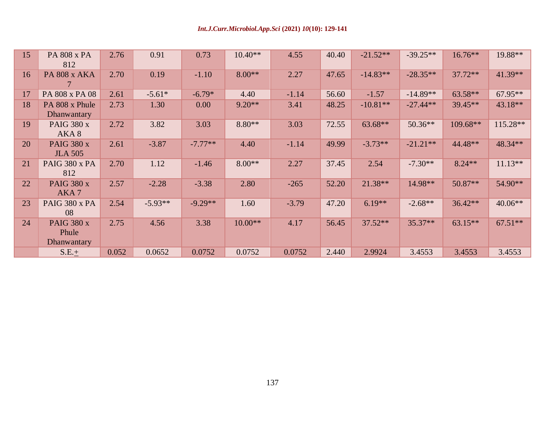| 15 | PA 808 x PA<br>812                        | 2.76  | 0.91      | 0.73      | $10.40**$ | 4.55    | 40.40 | $-21.52**$ | $-39.25**$ | $16.76**$  | 19.88**   |
|----|-------------------------------------------|-------|-----------|-----------|-----------|---------|-------|------------|------------|------------|-----------|
| 16 | PA 808 x AKA                              | 2.70  | 0.19      | $-1.10$   | $8.00**$  | 2.27    | 47.65 | $-14.83**$ | $-28.35**$ | $37.72**$  | $41.39**$ |
| 17 | PA 808 x PA 08                            | 2.61  | $-5.61*$  | $-6.79*$  | 4.40      | $-1.14$ | 56.60 | $-1.57$    | $-14.89**$ | $63.58**$  | $67.95**$ |
| 18 | PA 808 x Phule<br>Dhanwantary             | 2.73  | 1.30      | 0.00      | $9.20**$  | 3.41    | 48.25 | $-10.81**$ | $-27.44**$ | 39.45**    | 43.18**   |
| 19 | <b>PAIG 380 x</b><br>AKA8                 | 2.72  | 3.82      | 3.03      | $8.80**$  | 3.03    | 72.55 | $63.68**$  | $50.36**$  | $109.68**$ | 115.28**  |
| 20 | <b>PAIG 380 x</b><br><b>JLA 505</b>       | 2.61  | $-3.87$   | $-7.77**$ | 4.40      | $-1.14$ | 49.99 | $-3.73**$  | $-21.21**$ | 44.48**    | 48.34**   |
| 21 | PAIG 380 x PA<br>812                      | 2.70  | 1.12      | $-1.46$   | $8.00**$  | 2.27    | 37.45 | 2.54       | $-7.30**$  | $8.24**$   | $11.13**$ |
| 22 | <b>PAIG 380 x</b><br>AKA7                 | 2.57  | $-2.28$   | $-3.38$   | 2.80      | $-265$  | 52.20 | 21.38**    | 14.98**    | $50.87**$  | 54.90**   |
| 23 | PAIG 380 x PA<br>08                       | 2.54  | $-5.93**$ | $-9.29**$ | 1.60      | $-3.79$ | 47.20 | $6.19**$   | $-2.68**$  | $36.42**$  | $40.06**$ |
| 24 | <b>PAIG 380 x</b><br>Phule<br>Dhanwantary | 2.75  | 4.56      | 3.38      | $10.00**$ | 4.17    | 56.45 | $37.52**$  | $35.37**$  | $63.15**$  | $67.51**$ |
|    | $S.E. \pm$                                | 0.052 | 0.0652    | 0.0752    | 0.0752    | 0.0752  | 2.440 | 2.9924     | 3.4553     | 3.4553     | 3.4553    |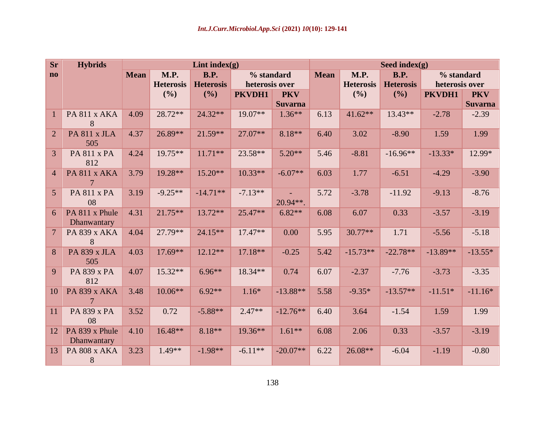| <b>Sr</b>      | <b>Hybrids</b>                |             |                  | Lint index $(g)$ |                |                   | Seed index $(g)$ |                  |                  |                |                |  |
|----------------|-------------------------------|-------------|------------------|------------------|----------------|-------------------|------------------|------------------|------------------|----------------|----------------|--|
| $\mathbf{n}$   |                               | <b>Mean</b> | <b>M.P.</b>      | <b>B.P.</b>      | % standard     |                   | <b>Mean</b>      | <b>M.P.</b>      | <b>B.P.</b>      | % standard     |                |  |
|                |                               |             | <b>Heterosis</b> | <b>Heterosis</b> | heterosis over |                   |                  | <b>Heterosis</b> | <b>Heterosis</b> | heterosis over |                |  |
|                |                               |             | (%)              | (%)              | PKVDH1         | <b>PKV</b>        |                  | (%)              | (%)              | PKVDH1         | <b>PKV</b>     |  |
|                |                               |             |                  |                  |                | <b>Suvarna</b>    |                  |                  |                  |                | <b>Suvarna</b> |  |
| $\mathbf{1}$   | PA 811 x AKA<br>8             | 4.09        | $28.72**$        | $24.32**$        | $19.07**$      | $1.36**$          | 6.13             | $41.62**$        | $13.43**$        | $-2.78$        | $-2.39$        |  |
| $\overline{2}$ | PA 811 x JLA<br>505           | 4.37        | $26.89**$        | $21.59**$        | $27.07**$      | $8.18**$          | 6.40             | 3.02             | $-8.90$          | 1.59           | 1.99           |  |
| 3              | <b>PA 811 x PA</b><br>812     | 4.24        | 19.75**          | $11.71**$        | $23.58**$      | $5.20**$          | 5.46             | $-8.81$          | $-16.96**$       | $-13.33*$      | 12.99*         |  |
| 4              | PA 811 x AKA<br>7             | 3.79        | 19.28**          | 15.20**          | $10.33**$      | $-6.07**$         | 6.03             | 1.77             | $-6.51$          | $-4.29$        | $-3.90$        |  |
| 5 <sup>5</sup> | PA 811 x PA<br>08             | 3.19        | $-9.25**$        | $-14.71**$       | $-7.13**$      | ÷.<br>$20.94**$ . | 5.72             | $-3.78$          | $-11.92$         | $-9.13$        | $-8.76$        |  |
| 6              | PA 811 x Phule<br>Dhanwantary | 4.31        | $21.75***$       | $13.72**$        | $25.47**$      | $6.82**$          | 6.08             | 6.07             | 0.33             | $-3.57$        | $-3.19$        |  |
| $\overline{7}$ | PA 839 x AKA<br>8             | 4.04        | $27.79**$        | $24.15**$        | $17.47**$      | 0.00              | 5.95             | 30.77**          | 1.71             | $-5.56$        | $-5.18$        |  |
| 8              | PA 839 x JLA<br>505           | 4.03        | $17.69**$        | $12.12**$        | 17.18**        | $-0.25$           | 5.42             | $-15.73**$       | $-22.78**$       | $-13.89**$     | $-13.55*$      |  |
| 9              | PA 839 x PA<br>812            | 4.07        | 15.32**          | $6.96**$         | 18.34**        | 0.74              | 6.07             | $-2.37$          | $-7.76$          | $-3.73$        | $-3.35$        |  |
| 10             | PA 839 x AKA                  | 3.48        | $10.06**$        | $6.92**$         | $1.16*$        | $-13.88**$        | 5.58             | $-9.35*$         | $-13.57**$       | $-11.51*$      | $-11.16*$      |  |
| 11             | PA 839 x PA<br>08             | 3.52        | 0.72             | $-5.88**$        | $2.47**$       | $-12.76**$        | 6.40             | 3.64             | $-1.54$          | 1.59           | 1.99           |  |
| 12             | PA 839 x Phule<br>Dhanwantary | 4.10        | 16.48**          | $8.18**$         | $19.36**$      | $1.61**$          | 6.08             | 2.06             | 0.33             | $-3.57$        | $-3.19$        |  |
| 13             | PA 808 x AKA<br>8             | 3.23        | $1.49**$         | $-1.98**$        | $-6.11**$      | $-20.07**$        | 6.22             | 26.08**          | $-6.04$          | $-1.19$        | $-0.80$        |  |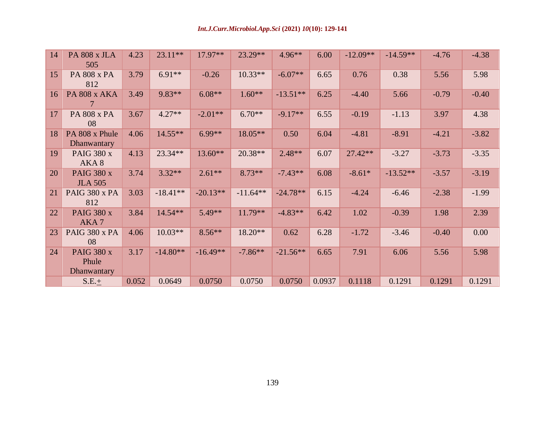| 14 | PA 808 x JLA<br>505                       | 4.23  | $23.11**$  | 17.97**    | $23.29**$  | $4.96**$   | 6.00   | $-12.09**$ | $-14.59**$ | $-4.76$ | $-4.38$ |
|----|-------------------------------------------|-------|------------|------------|------------|------------|--------|------------|------------|---------|---------|
| 15 | PA 808 x PA<br>812                        | 3.79  | $6.91**$   | $-0.26$    | $10.33**$  | $-6.07**$  | 6.65   | 0.76       | 0.38       | 5.56    | 5.98    |
| 16 | PA 808 x AKA                              | 3.49  | $9.83**$   | $6.08**$   | $1.60**$   | $-13.51**$ | 6.25   | $-4.40$    | 5.66       | $-0.79$ | $-0.40$ |
| 17 | PA 808 x PA<br>08                         | 3.67  | $4.27**$   | $-2.01**$  | $6.70**$   | $-9.17**$  | 6.55   | $-0.19$    | $-1.13$    | 3.97    | 4.38    |
| 18 | PA 808 x Phule<br>Dhanwantary             | 4.06  | $14.55***$ | $6.99**$   | $18.05**$  | 0.50       | 6.04   | $-4.81$    | $-8.91$    | $-4.21$ | $-3.82$ |
| 19 | <b>PAIG 380 x</b><br>AKA8                 | 4.13  | $23.34**$  | 13.60**    | $20.38**$  | $2.48**$   | 6.07   | $27.42**$  | $-3.27$    | $-3.73$ | $-3.35$ |
| 20 | <b>PAIG 380 x</b><br><b>JLA 505</b>       | 3.74  | $3.32**$   | $2.61**$   | $8.73**$   | $-7.43**$  | 6.08   | $-8.61*$   | $-13.52**$ | $-3.57$ | $-3.19$ |
| 21 | PAIG 380 x PA<br>812                      | 3.03  | $-18.41**$ | $-20.13**$ | $-11.64**$ | $-24.78**$ | 6.15   | $-4.24$    | $-6.46$    | $-2.38$ | $-1.99$ |
| 22 | <b>PAIG 380 x</b><br>AKA7                 | 3.84  | $14.54**$  | $5.49**$   | $11.79**$  | $-4.83**$  | 6.42   | 1.02       | $-0.39$    | 1.98    | 2.39    |
| 23 | PAIG 380 x PA<br>08                       | 4.06  | $10.03**$  | $8.56**$   | $18.20**$  | 0.62       | 6.28   | $-1.72$    | $-3.46$    | $-0.40$ | 0.00    |
| 24 | <b>PAIG 380 x</b><br>Phule<br>Dhanwantary | 3.17  | $-14.80**$ | $-16.49**$ | $-7.86**$  | $-21.56**$ | 6.65   | 7.91       | 6.06       | 5.56    | 5.98    |
|    | $S.E. \pm$                                | 0.052 | 0.0649     | 0.0750     | 0.0750     | 0.0750     | 0.0937 | 0.1118     | 0.1291     | 0.1291  | 0.1291  |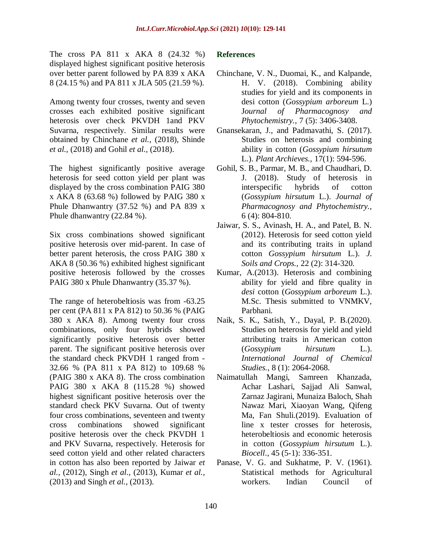The cross PA 811 x AKA 8 (24.32 %) displayed highest significant positive heterosis over better parent followed by PA 839 x AKA 8 (24.15 %) and PA 811 x JLA 505 (21.59 %).

Among twenty four crosses, twenty and seven crosses each exhibited positive significant heterosis over check PKVDH 1and PKV Suvarna, respectively. Similar results were obtained by Chinchane *et al.,* (2018), Shinde *et al.,* (2018) and Gohil *et al.,* (2018).

The highest significantly positive average heterosis for seed cotton yield per plant was displayed by the cross combination PAIG 380 x AKA 8 (63.68 %) followed by PAIG 380 x Phule Dhanwantry (37.52 %) and PA 839 x Phule dhanwantry (22.84 %).

Six cross combinations showed significant positive heterosis over mid-parent. In case of better parent heterosis, the cross PAIG 380 x AKA 8 (50.36 %) exhibited highest significant positive heterosis followed by the crosses PAIG 380 x Phule Dhanwantry (35.37 %).

The range of heterobeltiosis was from -63.25 per cent (PA 811 x PA 812) to 50.36 % (PAIG 380 x AKA 8). Among twenty four cross combinations, only four hybrids showed significantly positive heterosis over better parent. The significant positive heterosis over the standard check PKVDH 1 ranged from - 32.66 % (PA 811 x PA 812) to 109.68 % (PAIG 380 x AKA 8). The cross combination PAIG 380 x AKA 8 (115.28 %) showed highest significant positive heterosis over the standard check PKV Suvarna. Out of twenty four cross combinations, seventeen and twenty cross combinations showed significant positive heterosis over the check PKVDH 1 and PKV Suvarna, respectively. Heterosis for seed cotton yield and other related characters in cotton has also been reported by Jaiwar *et al.,* (2012), Singh *et al.,* (2013), Kumar *et al.,* (2013) and Singh *et al.,* (2013).

#### **References**

- Chinchane, V. N., Duomai, K., and Kalpande, H. V. (2018). Combining ability studies for yield and its components in desi cotton (*Gossypium arboreum* L.) J*ournal of Pharmacognosy and Phytochemistry.,* 7 (5): 3406-3408.
- Gnansekaran, J., and Padmavathi, S. (2017). Studies on heterosis and combining ability in cotton (*Gossypium hirsutum*  L.). *Plant Archieves.,* 17(1): 594-596.
- Gohil, S. B., Parmar, M. B., and Chaudhari, D. J. (2018). Study of heterosis in interspecific hybrids of cotton (*Gossypium hirsutum* L.). *Journal of Pharmacognosy and Phytochemistry.,* 6 (4): 804-810.
- Jaiwar, S. S., Avinash, H. A., and Patel, B. N. (2012). Heterosis for seed cotton yield and its contributing traits in upland cotton *Gossypium hirsutum* L.). *J. Soils and Crops.,* 22 (2): 314-320.
- Kumar, A.(2013). Heterosis and combining ability for yield and fibre quality in *desi* cotton (*Gossypium arboreum* L.). M.Sc. Thesis submitted to VNMKV, Parbhani.
- Naik, S. K., Satish, Y., Dayal, P. B.(2020). Studies on heterosis for yield and yield attributing traits in American cotton (*Gossypium hirsutum* L.). *International Journal of Chemical Studies.*, 8 (1): 2064-2068.
- Naimatullah Mangi, Samreen Khanzada, Achar Lashari, Sajjad Ali Sanwal, Zarnaz Jagirani, Munaiza Baloch, Shah Nawaz Mari, Xiaoyan Wang, Qifeng Ma, Fan Shuli.(2019). Evaluation of line x tester crosses for heterosis, heterobeltiosis and economic heterosis in cotton (*Gossypium hirsutum* L.). *Biocell*., 45 (5-1): 336-351.
- Panase, V. G. and Sukhatme, P. V. (1961). Statistical methods for Agricultural workers. Indian Council of